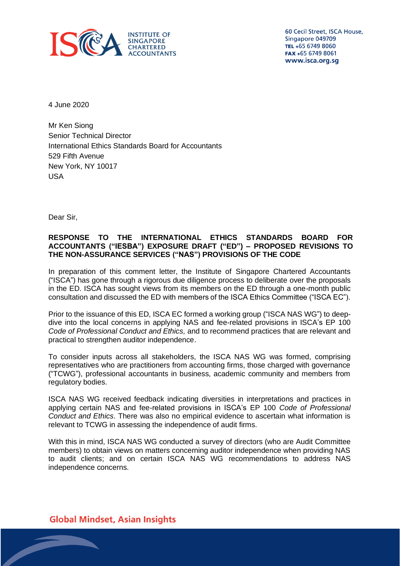

60 Cecil Street, ISCA House, Singapore 049709 TEL +65 6749 8060 FAX +65 6749 8061 www.isca.org.sg

4 June 2020

Mr Ken Siong Senior Technical Director International Ethics Standards Board for Accountants 529 Fifth Avenue New York, NY 10017 USA

Dear Sir,

# **RESPONSE TO THE INTERNATIONAL ETHICS STANDARDS BOARD FOR ACCOUNTANTS ("IESBA") EXPOSURE DRAFT ("ED") – PROPOSED REVISIONS TO THE NON-ASSURANCE SERVICES ("NAS") PROVISIONS OF THE CODE**

In preparation of this comment letter, the Institute of Singapore Chartered Accountants ("ISCA") has gone through a rigorous due diligence process to deliberate over the proposals in the ED. ISCA has sought views from its members on the ED through a one-month public consultation and discussed the ED with members of the ISCA Ethics Committee ("ISCA EC").

Prior to the issuance of this ED, ISCA EC formed a working group ("ISCA NAS WG") to deepdive into the local concerns in applying NAS and fee-related provisions in ISCA's EP 100 *Code of Professional Conduct and Ethics,* and to recommend practices that are relevant and practical to strengthen auditor independence.

To consider inputs across all stakeholders, the ISCA NAS WG was formed, comprising representatives who are practitioners from accounting firms, those charged with governance ("TCWG"), professional accountants in business, academic community and members from regulatory bodies.

ISCA NAS WG received feedback indicating diversities in interpretations and practices in applying certain NAS and fee-related provisions in ISCA's EP 100 *Code of Professional Conduct and Ethics*. There was also no empirical evidence to ascertain what information is relevant to TCWG in assessing the independence of audit firms.

With this in mind, ISCA NAS WG conducted a survey of directors (who are Audit Committee members) to obtain views on matters concerning auditor independence when providing NAS to audit clients; and on certain ISCA NAS WG recommendations to address NAS independence concerns.

**Global Mindset, Asian Insights**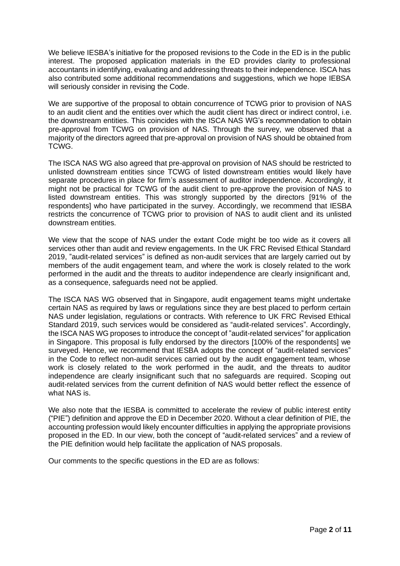We believe IESBA's initiative for the proposed revisions to the Code in the ED is in the public interest. The proposed application materials in the ED provides clarity to professional accountants in identifying, evaluating and addressing threats to their independence. ISCA has also contributed some additional recommendations and suggestions, which we hope IEBSA will seriously consider in revising the Code.

We are supportive of the proposal to obtain concurrence of TCWG prior to provision of NAS to an audit client and the entities over which the audit client has direct or indirect control, i.e. the downstream entities. This coincides with the ISCA NAS WG's recommendation to obtain pre-approval from TCWG on provision of NAS. Through the survey, we observed that a majority of the directors agreed that pre-approval on provision of NAS should be obtained from TCWG.

The ISCA NAS WG also agreed that pre-approval on provision of NAS should be restricted to unlisted downstream entities since TCWG of listed downstream entities would likely have separate procedures in place for firm's assessment of auditor independence. Accordingly, it might not be practical for TCWG of the audit client to pre-approve the provision of NAS to listed downstream entities. This was strongly supported by the directors [91% of the respondents] who have participated in the survey. Accordingly, we recommend that IESBA restricts the concurrence of TCWG prior to provision of NAS to audit client and its unlisted downstream entities.

We view that the scope of NAS under the extant Code might be too wide as it covers all services other than audit and review engagements. In the UK FRC Revised Ethical Standard 2019, "audit-related services" is defined as non-audit services that are largely carried out by members of the audit engagement team, and where the work is closely related to the work performed in the audit and the threats to auditor independence are clearly insignificant and, as a consequence, safeguards need not be applied.

The ISCA NAS WG observed that in Singapore, audit engagement teams might undertake certain NAS as required by laws or regulations since they are best placed to perform certain NAS under legislation, regulations or contracts. With reference to UK FRC Revised Ethical Standard 2019, such services would be considered as "audit-related services". Accordingly, the ISCA NAS WG proposes to introduce the concept of "audit-related services" for application in Singapore. This proposal is fully endorsed by the directors [100% of the respondents] we surveyed. Hence, we recommend that IESBA adopts the concept of "audit-related services" in the Code to reflect non-audit services carried out by the audit engagement team, whose work is closely related to the work performed in the audit, and the threats to auditor independence are clearly insignificant such that no safeguards are required. Scoping out audit-related services from the current definition of NAS would better reflect the essence of what NAS is.

We also note that the IESBA is committed to accelerate the review of public interest entity ("PIE") definition and approve the ED in December 2020. Without a clear definition of PIE, the accounting profession would likely encounter difficulties in applying the appropriate provisions proposed in the ED. In our view, both the concept of "audit-related services" and a review of the PIE definition would help facilitate the application of NAS proposals.

Our comments to the specific questions in the ED are as follows: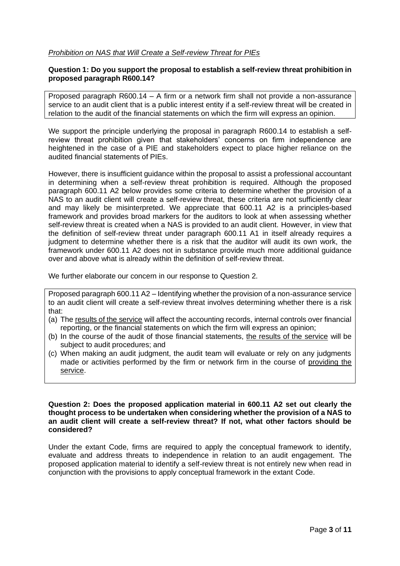## *Prohibition on NAS that Will Create a Self-review Threat for PIEs*

# **Question 1: Do you support the proposal to establish a self-review threat prohibition in proposed paragraph R600.14?**

Proposed paragraph R600.14 – A firm or a network firm shall not provide a non-assurance service to an audit client that is a public interest entity if a self-review threat will be created in relation to the audit of the financial statements on which the firm will express an opinion.

We support the principle underlying the proposal in paragraph R600.14 to establish a selfreview threat prohibition given that stakeholders' concerns on firm independence are heightened in the case of a PIE and stakeholders expect to place higher reliance on the audited financial statements of PIEs.

However, there is insufficient guidance within the proposal to assist a professional accountant in determining when a self-review threat prohibition is required. Although the proposed paragraph 600.11 A2 below provides some criteria to determine whether the provision of a NAS to an audit client will create a self-review threat, these criteria are not sufficiently clear and may likely be misinterpreted. We appreciate that 600.11 A2 is a principles-based framework and provides broad markers for the auditors to look at when assessing whether self-review threat is created when a NAS is provided to an audit client. However, in view that the definition of self-review threat under paragraph 600.11 A1 in itself already requires a judgment to determine whether there is a risk that the auditor will audit its own work, the framework under 600.11 A2 does not in substance provide much more additional guidance over and above what is already within the definition of self-review threat.

We further elaborate our concern in our response to Question 2.

Proposed paragraph 600.11 A2 – Identifying whether the provision of a non-assurance service to an audit client will create a self-review threat involves determining whether there is a risk that:

- (a) The results of the service will affect the accounting records, internal controls over financial reporting, or the financial statements on which the firm will express an opinion;
- (b) In the course of the audit of those financial statements, the results of the service will be subject to audit procedures; and
- (c) When making an audit judgment, the audit team will evaluate or rely on any judgments made or activities performed by the firm or network firm in the course of providing the service.

**Question 2: Does the proposed application material in 600.11 A2 set out clearly the thought process to be undertaken when considering whether the provision of a NAS to an audit client will create a self-review threat? If not, what other factors should be considered?**

Under the extant Code, firms are required to apply the conceptual framework to identify, evaluate and address threats to independence in relation to an audit engagement. The proposed application material to identify a self-review threat is not entirely new when read in conjunction with the provisions to apply conceptual framework in the extant Code.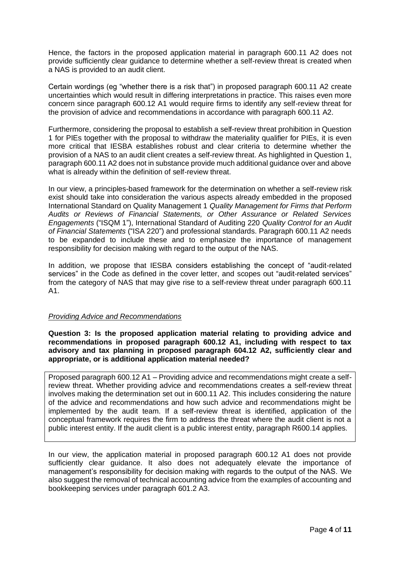Hence, the factors in the proposed application material in paragraph 600.11 A2 does not provide sufficiently clear guidance to determine whether a self-review threat is created when a NAS is provided to an audit client.

Certain wordings (eg "whether there is a risk that") in proposed paragraph 600.11 A2 create uncertainties which would result in differing interpretations in practice. This raises even more concern since paragraph 600.12 A1 would require firms to identify any self-review threat for the provision of advice and recommendations in accordance with paragraph 600.11 A2.

Furthermore, considering the proposal to establish a self-review threat prohibition in Question 1 for PIEs together with the proposal to withdraw the materiality qualifier for PIEs, it is even more critical that IESBA establishes robust and clear criteria to determine whether the provision of a NAS to an audit client creates a self-review threat. As highlighted in Question 1, paragraph 600.11 A2 does not in substance provide much additional guidance over and above what is already within the definition of self-review threat.

In our view, a principles-based framework for the determination on whether a self-review risk exist should take into consideration the various aspects already embedded in the proposed International Standard on Quality Management 1 *Quality Management for Firms that Perform Audits or Reviews of Financial Statements, or Other Assurance or Related Services Engagements* ("ISQM 1"), International Standard of Auditing 220 *Quality Control for an Audit of Financial Statements* ("ISA 220") and professional standards. Paragraph 600.11 A2 needs to be expanded to include these and to emphasize the importance of management responsibility for decision making with regard to the output of the NAS.

In addition, we propose that IESBA considers establishing the concept of "audit-related services" in the Code as defined in the cover letter, and scopes out "audit-related services" from the category of NAS that may give rise to a self-review threat under paragraph 600.11 A1.

# *Providing Advice and Recommendations*

**Question 3: Is the proposed application material relating to providing advice and recommendations in proposed paragraph 600.12 A1, including with respect to tax advisory and tax planning in proposed paragraph 604.12 A2, sufficiently clear and appropriate, or is additional application material needed?**

Proposed paragraph 600.12 A1 – Providing advice and recommendations might create a selfreview threat. Whether providing advice and recommendations creates a self-review threat involves making the determination set out in 600.11 A2. This includes considering the nature of the advice and recommendations and how such advice and recommendations might be implemented by the audit team. If a self-review threat is identified, application of the conceptual framework requires the firm to address the threat where the audit client is not a public interest entity. If the audit client is a public interest entity, paragraph R600.14 applies.

In our view, the application material in proposed paragraph 600.12 A1 does not provide sufficiently clear guidance. It also does not adequately elevate the importance of management's responsibility for decision making with regards to the output of the NAS. We also suggest the removal of technical accounting advice from the examples of accounting and bookkeeping services under paragraph 601.2 A3.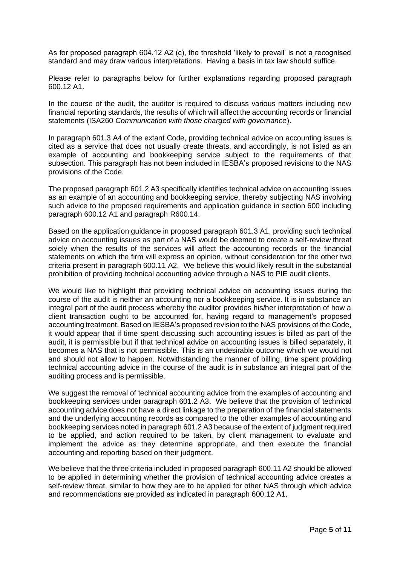As for proposed paragraph 604.12 A2 (c), the threshold 'likely to prevail' is not a recognised standard and may draw various interpretations. Having a basis in tax law should suffice.

Please refer to paragraphs below for further explanations regarding proposed paragraph 600.12 A1.

In the course of the audit, the auditor is required to discuss various matters including new financial reporting standards, the results of which will affect the accounting records or financial statements (ISA260 *Communication with those charged with governance*).

In paragraph 601.3 A4 of the extant Code, providing technical advice on accounting issues is cited as a service that does not usually create threats, and accordingly, is not listed as an example of accounting and bookkeeping service subject to the requirements of that subsection. This paragraph has not been included in IESBA's proposed revisions to the NAS provisions of the Code.

The proposed paragraph 601.2 A3 specifically identifies technical advice on accounting issues as an example of an accounting and bookkeeping service, thereby subjecting NAS involving such advice to the proposed requirements and application guidance in section 600 including paragraph 600.12 A1 and paragraph R600.14.

Based on the application guidance in proposed paragraph 601.3 A1, providing such technical advice on accounting issues as part of a NAS would be deemed to create a self-review threat solely when the results of the services will affect the accounting records or the financial statements on which the firm will express an opinion, without consideration for the other two criteria present in paragraph 600.11 A2. We believe this would likely result in the substantial prohibition of providing technical accounting advice through a NAS to PIE audit clients.

We would like to highlight that providing technical advice on accounting issues during the course of the audit is neither an accounting nor a bookkeeping service. It is in substance an integral part of the audit process whereby the auditor provides his/her interpretation of how a client transaction ought to be accounted for, having regard to management's proposed accounting treatment. Based on IESBA's proposed revision to the NAS provisions of the Code, it would appear that if time spent discussing such accounting issues is billed as part of the audit, it is permissible but if that technical advice on accounting issues is billed separately, it becomes a NAS that is not permissible. This is an undesirable outcome which we would not and should not allow to happen. Notwithstanding the manner of billing, time spent providing technical accounting advice in the course of the audit is in substance an integral part of the auditing process and is permissible.

We suggest the removal of technical accounting advice from the examples of accounting and bookkeeping services under paragraph 601.2 A3. We believe that the provision of technical accounting advice does not have a direct linkage to the preparation of the financial statements and the underlying accounting records as compared to the other examples of accounting and bookkeeping services noted in paragraph 601.2 A3 because of the extent of judgment required to be applied, and action required to be taken, by client management to evaluate and implement the advice as they determine appropriate, and then execute the financial accounting and reporting based on their judgment.

We believe that the three criteria included in proposed paragraph 600.11 A2 should be allowed to be applied in determining whether the provision of technical accounting advice creates a self-review threat, similar to how they are to be applied for other NAS through which advice and recommendations are provided as indicated in paragraph 600.12 A1.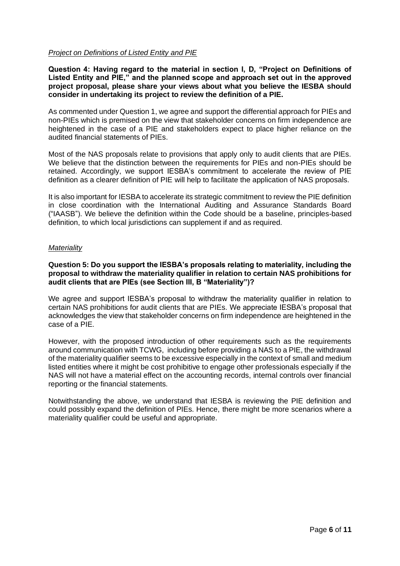## *Project on Definitions of Listed Entity and PIE*

**Question 4: Having regard to the material in section I, D, "Project on Definitions of Listed Entity and PIE," and the planned scope and approach set out in the approved project proposal, please share your views about what you believe the IESBA should consider in undertaking its project to review the definition of a PIE.** 

As commented under Question 1, we agree and support the differential approach for PIEs and non-PIEs which is premised on the view that stakeholder concerns on firm independence are heightened in the case of a PIE and stakeholders expect to place higher reliance on the audited financial statements of PIEs.

Most of the NAS proposals relate to provisions that apply only to audit clients that are PIEs. We believe that the distinction between the requirements for PIEs and non-PIEs should be retained. Accordingly, we support IESBA's commitment to accelerate the review of PIE definition as a clearer definition of PIE will help to facilitate the application of NAS proposals.

It is also important for IESBA to accelerate its strategic commitment to review the PIE definition in close coordination with the International Auditing and Assurance Standards Board ("IAASB"). We believe the definition within the Code should be a baseline, principles-based definition, to which local jurisdictions can supplement if and as required.

## *Materiality*

## **Question 5: Do you support the IESBA's proposals relating to materiality, including the proposal to withdraw the materiality qualifier in relation to certain NAS prohibitions for audit clients that are PIEs (see Section III, B "Materiality")?**

We agree and support IESBA's proposal to withdraw the materiality qualifier in relation to certain NAS prohibitions for audit clients that are PIEs. We appreciate IESBA's proposal that acknowledges the view that stakeholder concerns on firm independence are heightened in the case of a PIE.

However, with the proposed introduction of other requirements such as the requirements around communication with TCWG, including before providing a NAS to a PIE, the withdrawal of the materiality qualifier seems to be excessive especially in the context of small and medium listed entities where it might be cost prohibitive to engage other professionals especially if the NAS will not have a material effect on the accounting records, internal controls over financial reporting or the financial statements.

Notwithstanding the above, we understand that IESBA is reviewing the PIE definition and could possibly expand the definition of PIEs. Hence, there might be more scenarios where a materiality qualifier could be useful and appropriate.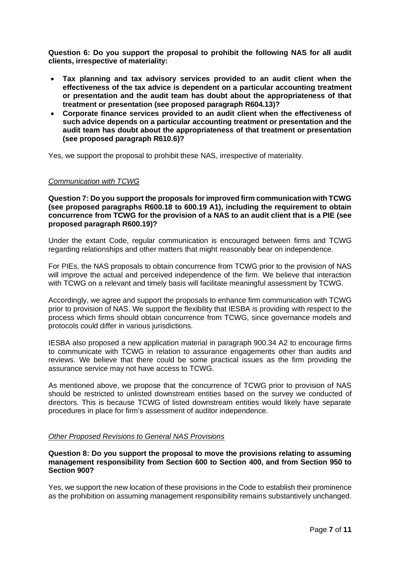**Question 6: Do you support the proposal to prohibit the following NAS for all audit clients, irrespective of materiality:**

- **Tax planning and tax advisory services provided to an audit client when the effectiveness of the tax advice is dependent on a particular accounting treatment or presentation and the audit team has doubt about the appropriateness of that treatment or presentation (see proposed paragraph R604.13)?**
- **Corporate finance services provided to an audit client when the effectiveness of such advice depends on a particular accounting treatment or presentation and the audit team has doubt about the appropriateness of that treatment or presentation (see proposed paragraph R610.6)?**

Yes, we support the proposal to prohibit these NAS, irrespective of materiality.

#### *Communication with TCWG*

**Question 7: Do you support the proposals for improved firm communication with TCWG (see proposed paragraphs R600.18 to 600.19 A1), including the requirement to obtain concurrence from TCWG for the provision of a NAS to an audit client that is a PIE (see proposed paragraph R600.19)?**

Under the extant Code, regular communication is encouraged between firms and TCWG regarding relationships and other matters that might reasonably bear on independence.

For PIEs, the NAS proposals to obtain concurrence from TCWG prior to the provision of NAS will improve the actual and perceived independence of the firm. We believe that interaction with TCWG on a relevant and timely basis will facilitate meaningful assessment by TCWG.

Accordingly, we agree and support the proposals to enhance firm communication with TCWG prior to provision of NAS. We support the flexibility that IESBA is providing with respect to the process which firms should obtain concurrence from TCWG, since governance models and protocols could differ in various jurisdictions.

IESBA also proposed a new application material in paragraph 900.34 A2 to encourage firms to communicate with TCWG in relation to assurance engagements other than audits and reviews. We believe that there could be some practical issues as the firm providing the assurance service may not have access to TCWG.

As mentioned above, we propose that the concurrence of TCWG prior to provision of NAS should be restricted to unlisted downstream entities based on the survey we conducted of directors. This is because TCWG of listed downstream entities would likely have separate procedures in place for firm's assessment of auditor independence.

### *Other Proposed Revisions to General NAS Provisions*

**Question 8: Do you support the proposal to move the provisions relating to assuming management responsibility from Section 600 to Section 400, and from Section 950 to Section 900?**

Yes, we support the new location of these provisions in the Code to establish their prominence as the prohibition on assuming management responsibility remains substantively unchanged.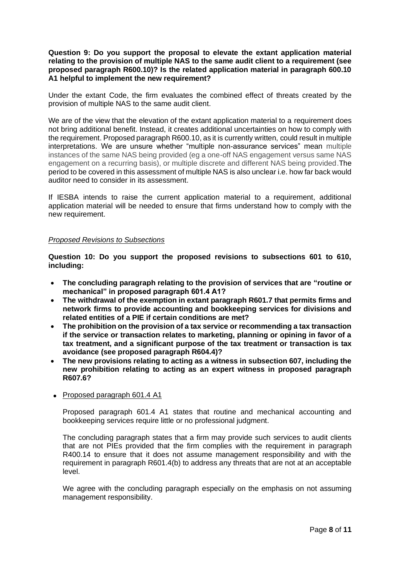**Question 9: Do you support the proposal to elevate the extant application material relating to the provision of multiple NAS to the same audit client to a requirement (see proposed paragraph R600.10)? Is the related application material in paragraph 600.10 A1 helpful to implement the new requirement?**

Under the extant Code, the firm evaluates the combined effect of threats created by the provision of multiple NAS to the same audit client.

We are of the view that the elevation of the extant application material to a requirement does not bring additional benefit. Instead, it creates additional uncertainties on how to comply with the requirement. Proposed paragraph R600.10, as it is currently written, could result in multiple interpretations. We are unsure whether "multiple non-assurance services" mean multiple instances of the same NAS being provided (eg a one-off NAS engagement versus same NAS engagement on a recurring basis), or multiple discrete and different NAS being provided.The period to be covered in this assessment of multiple NAS is also unclear i.e. how far back would auditor need to consider in its assessment.

If IESBA intends to raise the current application material to a requirement, additional application material will be needed to ensure that firms understand how to comply with the new requirement.

#### *Proposed Revisions to Subsections*

**Question 10: Do you support the proposed revisions to subsections 601 to 610, including:**

- **The concluding paragraph relating to the provision of services that are "routine or mechanical" in proposed paragraph 601.4 A1?**
- **The withdrawal of the exemption in extant paragraph R601.7 that permits firms and network firms to provide accounting and bookkeeping services for divisions and related entities of a PIE if certain conditions are met?**
- **The prohibition on the provision of a tax service or recommending a tax transaction if the service or transaction relates to marketing, planning or opining in favor of a tax treatment, and a significant purpose of the tax treatment or transaction is tax avoidance (see proposed paragraph R604.4)?**
- **The new provisions relating to acting as a witness in subsection 607, including the new prohibition relating to acting as an expert witness in proposed paragraph R607.6?**
- Proposed paragraph 601.4 A1

Proposed paragraph 601.4 A1 states that routine and mechanical accounting and bookkeeping services require little or no professional judgment.

The concluding paragraph states that a firm may provide such services to audit clients that are not PIEs provided that the firm complies with the requirement in paragraph R400.14 to ensure that it does not assume management responsibility and with the requirement in paragraph R601.4(b) to address any threats that are not at an acceptable level.

We agree with the concluding paragraph especially on the emphasis on not assuming management responsibility.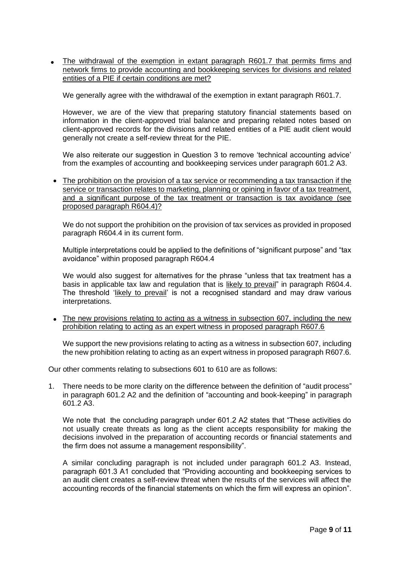• The withdrawal of the exemption in extant paragraph R601.7 that permits firms and network firms to provide accounting and bookkeeping services for divisions and related entities of a PIE if certain conditions are met?

We generally agree with the withdrawal of the exemption in extant paragraph R601.7.

However, we are of the view that preparing statutory financial statements based on information in the client-approved trial balance and preparing related notes based on client-approved records for the divisions and related entities of a PIE audit client would generally not create a self-review threat for the PIE.

We also reiterate our suggestion in Question 3 to remove 'technical accounting advice' from the examples of accounting and bookkeeping services under paragraph 601.2 A3.

• The prohibition on the provision of a tax service or recommending a tax transaction if the service or transaction relates to marketing, planning or opining in favor of a tax treatment, and a significant purpose of the tax treatment or transaction is tax avoidance (see proposed paragraph R604.4)?

We do not support the prohibition on the provision of tax services as provided in proposed paragraph R604.4 in its current form.

Multiple interpretations could be applied to the definitions of "significant purpose" and "tax avoidance" within proposed paragraph R604.4

We would also suggest for alternatives for the phrase "unless that tax treatment has a basis in applicable tax law and regulation that is likely to prevail" in paragraph R604.4. The threshold 'likely to prevail' is not a recognised standard and may draw various interpretations.

• The new provisions relating to acting as a witness in subsection 607, including the new prohibition relating to acting as an expert witness in proposed paragraph R607.6

We support the new provisions relating to acting as a witness in subsection 607, including the new prohibition relating to acting as an expert witness in proposed paragraph R607.6.

Our other comments relating to subsections 601 to 610 are as follows:

1. There needs to be more clarity on the difference between the definition of "audit process" in paragraph 601.2 A2 and the definition of "accounting and book-keeping" in paragraph 601.2 A3.

We note that the concluding paragraph under 601.2 A2 states that "These activities do not usually create threats as long as the client accepts responsibility for making the decisions involved in the preparation of accounting records or financial statements and the firm does not assume a management responsibility".

A similar concluding paragraph is not included under paragraph 601.2 A3. Instead, paragraph 601.3 A1 concluded that "Providing accounting and bookkeeping services to an audit client creates a self-review threat when the results of the services will affect the accounting records of the financial statements on which the firm will express an opinion".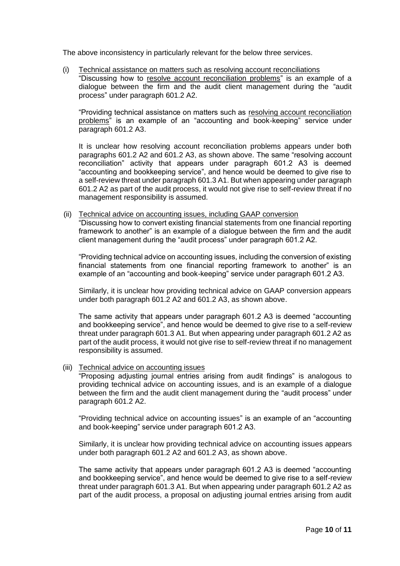The above inconsistency in particularly relevant for the below three services.

(i) Technical assistance on matters such as resolving account reconciliations "Discussing how to resolve account reconciliation problems" is an example of a dialogue between the firm and the audit client management during the "audit process" under paragraph 601.2 A2.

"Providing technical assistance on matters such as resolving account reconciliation problems" is an example of an "accounting and book-keeping" service under paragraph 601.2 A3.

It is unclear how resolving account reconciliation problems appears under both paragraphs 601.2 A2 and 601.2 A3, as shown above. The same "resolving account reconciliation" activity that appears under paragraph 601.2 A3 is deemed "accounting and bookkeeping service", and hence would be deemed to give rise to a self-review threat under paragraph 601.3 A1. But when appearing under paragraph 601.2 A2 as part of the audit process, it would not give rise to self-review threat if no management responsibility is assumed.

(ii) Technical advice on accounting issues, including GAAP conversion "Discussing how to convert existing financial statements from one financial reporting framework to another" is an example of a dialogue between the firm and the audit client management during the "audit process" under paragraph 601.2 A2.

"Providing technical advice on accounting issues, including the conversion of existing financial statements from one financial reporting framework to another" is an example of an "accounting and book-keeping" service under paragraph 601.2 A3.

Similarly, it is unclear how providing technical advice on GAAP conversion appears under both paragraph 601.2 A2 and 601.2 A3, as shown above.

The same activity that appears under paragraph 601.2 A3 is deemed "accounting and bookkeeping service", and hence would be deemed to give rise to a self-review threat under paragraph 601.3 A1. But when appearing under paragraph 601.2 A2 as part of the audit process, it would not give rise to self-review threat if no management responsibility is assumed.

(iii) Technical advice on accounting issues

"Proposing adjusting journal entries arising from audit findings" is analogous to providing technical advice on accounting issues, and is an example of a dialogue between the firm and the audit client management during the "audit process" under paragraph 601.2 A2.

"Providing technical advice on accounting issues" is an example of an "accounting and book-keeping" service under paragraph 601.2 A3.

Similarly, it is unclear how providing technical advice on accounting issues appears under both paragraph 601.2 A2 and 601.2 A3, as shown above.

The same activity that appears under paragraph 601.2 A3 is deemed "accounting and bookkeeping service", and hence would be deemed to give rise to a self-review threat under paragraph 601.3 A1. But when appearing under paragraph 601.2 A2 as part of the audit process, a proposal on adjusting journal entries arising from audit